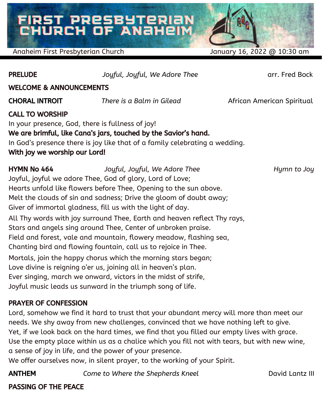# FIRST PRESBYTERIAN<br>CHURCH OF ANAHEIM

Anaheim First Presbyterian Church January 16, 2022 @ 10:30 am

PRELUDE *Joyful, Joyful, We Adore Thee* arr. Fred Bock

### WELCOME & ANNOUNCEMENTS

CHORAL INTROIT *There is a Balm in Gilead* African American Spiritual

CALL TO WORSHIP

In your presence, God, there is fullness of joy! We are brimful, like Cana's jars, touched by the Savior's hand. In God's presence there is joy like that of a family celebrating a wedding. With joy we worship our Lord!

HYMN No 464 *Joyful, Joyful, We Adore Thee Hymn to Joy* Joyful, joyful we adore Thee, God of glory, Lord of Love; Hearts unfold like flowers before Thee, Opening to the sun above. Melt the clouds of sin and sadness; Drive the gloom of doubt away; Giver of immortal gladness, fill us with the light of day. All Thy words with joy surround Thee, Earth and heaven reflect Thy rays, Stars and angels sing around Thee, Center of unbroken praise. Field and forest, vale and mountain, flowery meadow, flashing sea, Chanting bird and flowing fountain, call us to rejoice in Thee. Mortals, join the happy chorus which the morning stars began; Love divine is reigning o'er us, joining all in heaven's plan. Ever singing, march we onward, victors in the midst of strife, Joyful music leads us sunward in the triumph song of life.

### PRAYER OF CONFESSION

Lord, somehow we find it hard to trust that your abundant mercy will more than meet our needs. We shy away from new challenges, convinced that we have nothing left to give. Yet, if we look back on the hard times, we find that you filled our empty lives with grace. Use the empty place within us as a chalice which you fill not with tears, but with new wine, a sense of joy in life, and the power of your presence.

We offer ourselves now, in silent prayer, to the working of your Spirit.

ANTHEM *Come to Where the Shepherds Kneel* David Lantz III

### PASSING OF THE PEACE